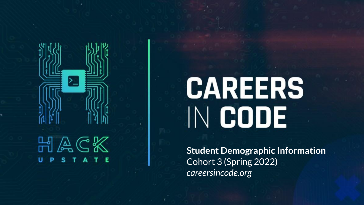

# **CAREERS** IN CODE

**Student Demographic Information** Cohort 3 (Spring 2022) *careersincode.org*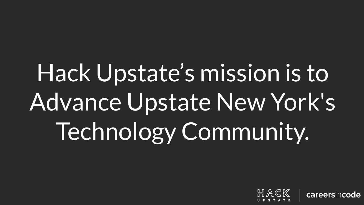# Hack Upstate's mission is to Advance Upstate New York's Technology Community.



careersincode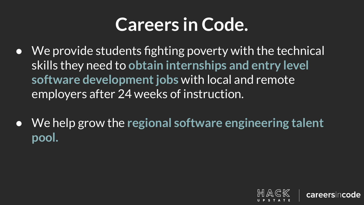### **Careers in Code.**

- We provide students fighting poverty with the technical skills they need to **obtain internships and entry level software development jobs** with local and remote employers after 24 weeks of instruction.
- We help grow the **regional software engineering talent pool.**

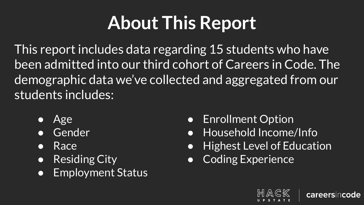# **About This Report**

This report includes data regarding 15 students who have been admitted into our third cohort of Careers in Code. The demographic data we've collected and aggregated from our students includes:

- Age
- **Gender**
- Race
- Residing City
- Employment Status
- Enrollment Option
- Household Income/Info
- **Highest Level of Education**
- **Coding Experience**



careersincode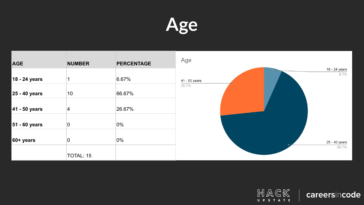



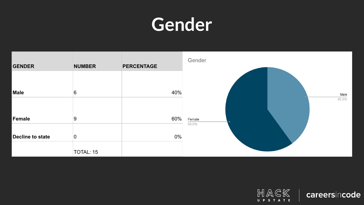#### **Gender**



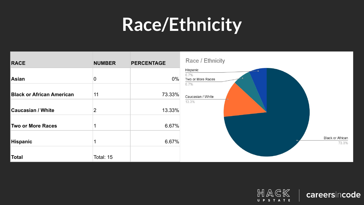#### **Race/Ethnicity**



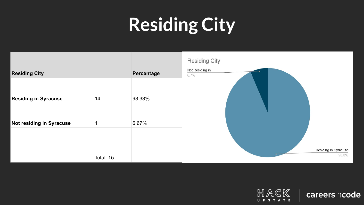# **Residing City**



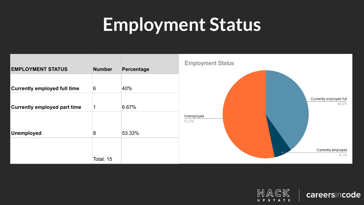#### **Employment Status**



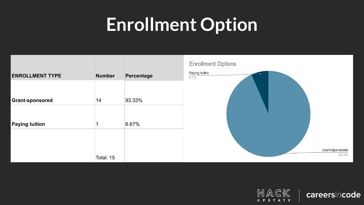#### **Enrollment Option**



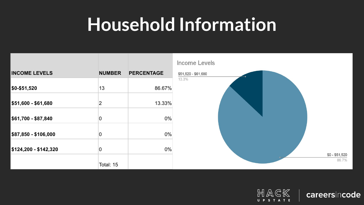#### **Household Information**



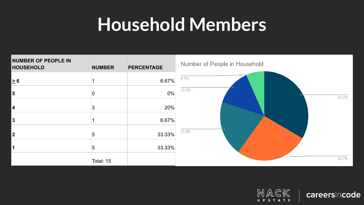#### **Household Members**



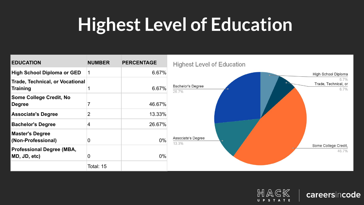### **Highest Level of Education**





careersincode